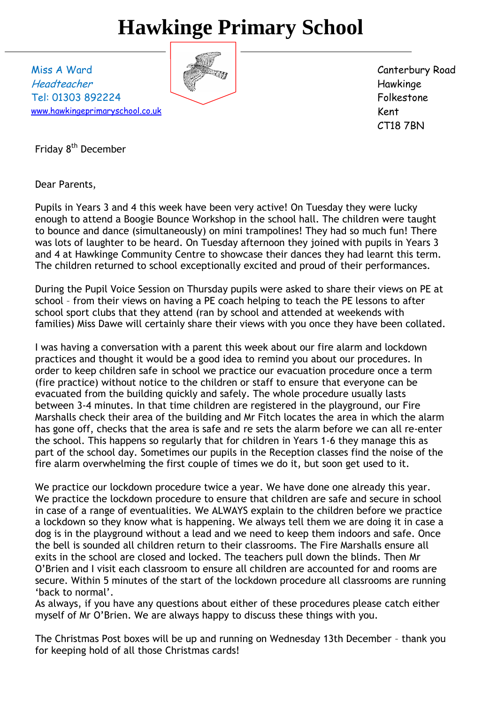# **Hawkinge Primary School**

Miss A Ward Headteacher Tel: 01303 892224 [www.hawkingeprimaryschool.co.uk](http://www.hawkingeprimaryschool.co.uk/)



Canterbury Road Hawkinge Folkestone Kent CT18 7BN

Friday 8<sup>th</sup> December

Dear Parents,

Pupils in Years 3 and 4 this week have been very active! On Tuesday they were lucky enough to attend a Boogie Bounce Workshop in the school hall. The children were taught to bounce and dance (simultaneously) on mini trampolines! They had so much fun! There was lots of laughter to be heard. On Tuesday afternoon they joined with pupils in Years 3 and 4 at Hawkinge Community Centre to showcase their dances they had learnt this term. The children returned to school exceptionally excited and proud of their performances.

During the Pupil Voice Session on Thursday pupils were asked to share their views on PE at school – from their views on having a PE coach helping to teach the PE lessons to after school sport clubs that they attend (ran by school and attended at weekends with families) Miss Dawe will certainly share their views with you once they have been collated.

I was having a conversation with a parent this week about our fire alarm and lockdown practices and thought it would be a good idea to remind you about our procedures. In order to keep children safe in school we practice our evacuation procedure once a term (fire practice) without notice to the children or staff to ensure that everyone can be evacuated from the building quickly and safely. The whole procedure usually lasts between 3-4 minutes. In that time children are registered in the playground, our Fire Marshalls check their area of the building and Mr Fitch locates the area in which the alarm has gone off, checks that the area is safe and re sets the alarm before we can all re-enter the school. This happens so regularly that for children in Years 1-6 they manage this as part of the school day. Sometimes our pupils in the Reception classes find the noise of the fire alarm overwhelming the first couple of times we do it, but soon get used to it.

We practice our lockdown procedure twice a year. We have done one already this year. We practice the lockdown procedure to ensure that children are safe and secure in school in case of a range of eventualities. We ALWAYS explain to the children before we practice a lockdown so they know what is happening. We always tell them we are doing it in case a dog is in the playground without a lead and we need to keep them indoors and safe. Once the bell is sounded all children return to their classrooms. The Fire Marshalls ensure all exits in the school are closed and locked. The teachers pull down the blinds. Then Mr O'Brien and I visit each classroom to ensure all children are accounted for and rooms are secure. Within 5 minutes of the start of the lockdown procedure all classrooms are running 'back to normal'.

As always, if you have any questions about either of these procedures please catch either myself of Mr O'Brien. We are always happy to discuss these things with you.

The Christmas Post boxes will be up and running on Wednesday 13th December – thank you for keeping hold of all those Christmas cards!